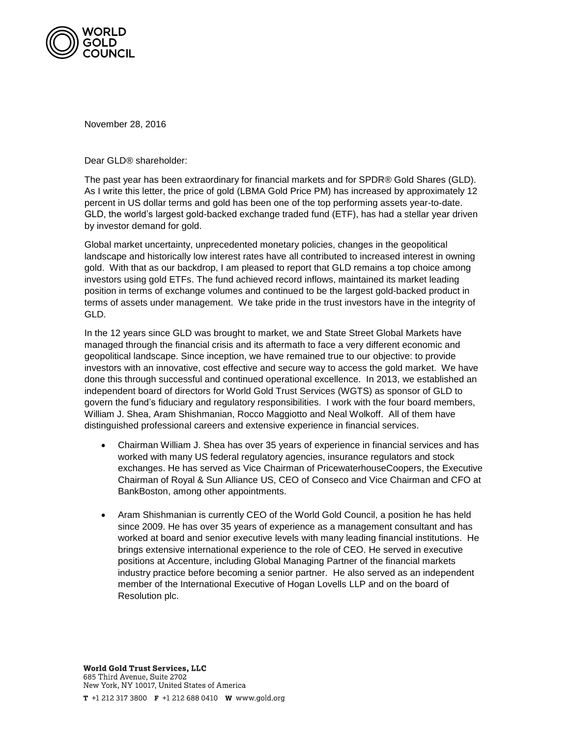

November 28, 2016

Dear GLD® shareholder:

The past year has been extraordinary for financial markets and for SPDR® Gold Shares (GLD). As I write this letter, the price of gold (LBMA Gold Price PM) has increased by approximately 12 percent in US dollar terms and gold has been one of the top performing assets year-to-date. GLD, the world's largest gold-backed exchange traded fund (ETF), has had a stellar year driven by investor demand for gold.

Global market uncertainty, unprecedented monetary policies, changes in the geopolitical landscape and historically low interest rates have all contributed to increased interest in owning gold. With that as our backdrop, I am pleased to report that GLD remains a top choice among investors using gold ETFs. The fund achieved record inflows, maintained its market leading position in terms of exchange volumes and continued to be the largest gold-backed product in terms of assets under management. We take pride in the trust investors have in the integrity of GLD.

In the 12 years since GLD was brought to market, we and State Street Global Markets have managed through the financial crisis and its aftermath to face a very different economic and geopolitical landscape. Since inception, we have remained true to our objective: to provide investors with an innovative, cost effective and secure way to access the gold market. We have done this through successful and continued operational excellence. In 2013, we established an independent board of directors for World Gold Trust Services (WGTS) as sponsor of GLD to govern the fund's fiduciary and regulatory responsibilities. I work with the four board members, William J. Shea, Aram Shishmanian, Rocco Maggiotto and Neal Wolkoff. All of them have distinguished professional careers and extensive experience in financial services.

- Chairman William J. Shea has over 35 years of experience in financial services and has worked with many US federal regulatory agencies, insurance regulators and stock exchanges. He has served as Vice Chairman of PricewaterhouseCoopers, the Executive Chairman of Royal & Sun Alliance US, CEO of Conseco and Vice Chairman and CFO at BankBoston, among other appointments.
- Aram Shishmanian is currently CEO of the World Gold Council, a position he has held since 2009. He has over 35 years of experience as a management consultant and has worked at board and senior executive levels with many leading financial institutions. He brings extensive international experience to the role of CEO. He served in executive positions at Accenture, including Global Managing Partner of the financial markets industry practice before becoming a senior partner. He also served as an independent member of the International Executive of Hogan Lovells LLP and on the board of Resolution plc.